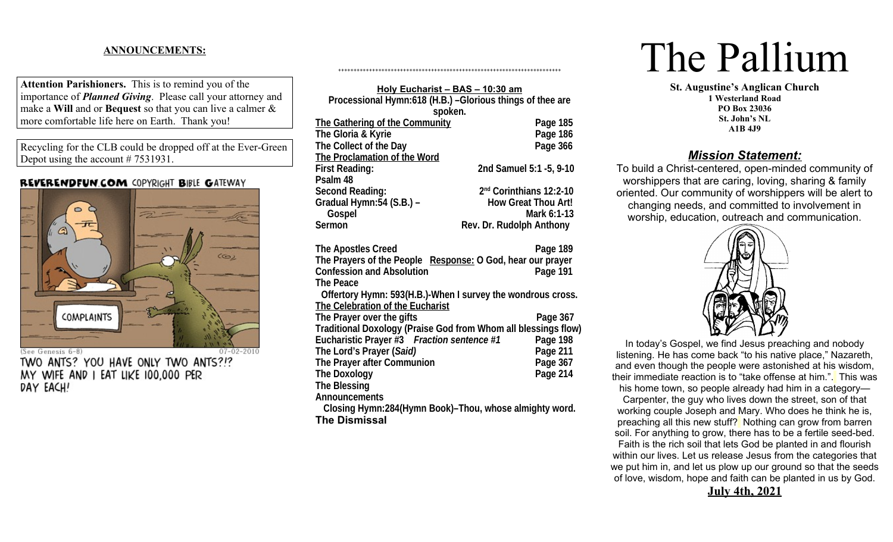# **ANNOUNCEMENTS:**

**Attention Parishioners.** This is to remind you of the importance of *Planned Giving*. Please call your attorney and make a **Will** and or **Bequest** so that you can live a calmer & more comfortable life here on Earth. Thank you!

Recycling for the CLB could be dropped off at the Ever-Green Depot using the account # 7531931.

# **REVERENDFUN.COM COPYRIGHT BIBLE GATEWAY**



TWO ANTS? YOU HAVE ONLY TWO ANTS?!? MY WIFE AND I EAT LIKE 100,000 PER DAY EACH!

| Holy Eucharist - BAS - 10:30 am                                |                                     |
|----------------------------------------------------------------|-------------------------------------|
| Processional Hymn:618 (H.B.) -Glorious things of thee are      |                                     |
| spoken.                                                        |                                     |
| <b>The Gathering of the Community</b>                          | Page 185                            |
| The Gloria & Kyrie                                             | Page 186                            |
| The Collect of the Day                                         | Page 366                            |
| <b>The Proclamation of the Word</b>                            |                                     |
| <b>First Reading:</b>                                          | 2nd Samuel 5:1 -5, 9-10             |
| Psalm 48                                                       |                                     |
| <b>Second Reading:</b>                                         | 2 <sup>nd</sup> Corinthians 12:2-10 |
| Gradual Hymn:54 (S.B.) –                                       | <b>How Great Thou Art!</b>          |
| Gospel                                                         | Mark 6:1-13                         |
| Sermon                                                         | Rev. Dr. Rudolph Anthony            |
|                                                                |                                     |
| <b>The Apostles Creed</b>                                      | Page 189                            |
| The Prayers of the People Response: O God, hear our prayer     |                                     |
| <b>Confession and Absolution</b>                               | Page 191                            |
| <b>The Peace</b>                                               |                                     |
| Offertory Hymn: 593(H.B.)-When I survey the wondrous cross.    |                                     |
| <b>The Celebration of the Eucharist</b>                        |                                     |
| The Prayer over the gifts                                      | Page 367                            |
| Traditional Doxology (Praise God from Whom all blessings flow) |                                     |
| Eucharistic Prayer #3 Fraction sentence #1                     | Page 198                            |
| The Lord's Prayer (Said)                                       | Page 211                            |
| <b>The Prayer after Communion</b>                              | Page 367                            |
| <b>The Doxology</b>                                            | Page 214                            |
| The Blessing                                                   |                                     |
| <b>Announcements</b>                                           |                                     |
| Closing Hymn:284(Hymn Book)-Thou, whose almighty word.         |                                     |

++++++++++++++++++++++++++++++++++++++++++++++++++++++++++++++++++++++++

**The Dismissal**

# The Pallium

**St. Augustine's Anglican Church 1 Westerland Road PO Box 23036 St. John's NL A1B 4J9**

# *Mission Statement:*

To build a Christ-centered, open-minded community of worshippers that are caring, loving, sharing & family oriented. Our community of worshippers will be alert to changing needs, and committed to involvement in worship, education, outreach and communication.



In today's Gospel, we find Jesus preaching and nobody listening. He has come back "to his native place," Nazareth, and even though the people were astonished at his wisdom, their immediate reaction is to "take offense at him.". This was his home town, so people already had him in a category—

Carpenter, the guy who lives down the street, son of that working couple Joseph and Mary. Who does he think he is, preaching all this new stuff? Nothing can grow from barren soil. For anything to grow, there has to be a fertile seed-bed. Faith is the rich soil that lets God be planted in and flourish within our lives. Let us release Jesus from the categories that we put him in, and let us plow up our ground so that the seeds of love, wisdom, hope and faith can be planted in us by God.

**July 4th, 2021**